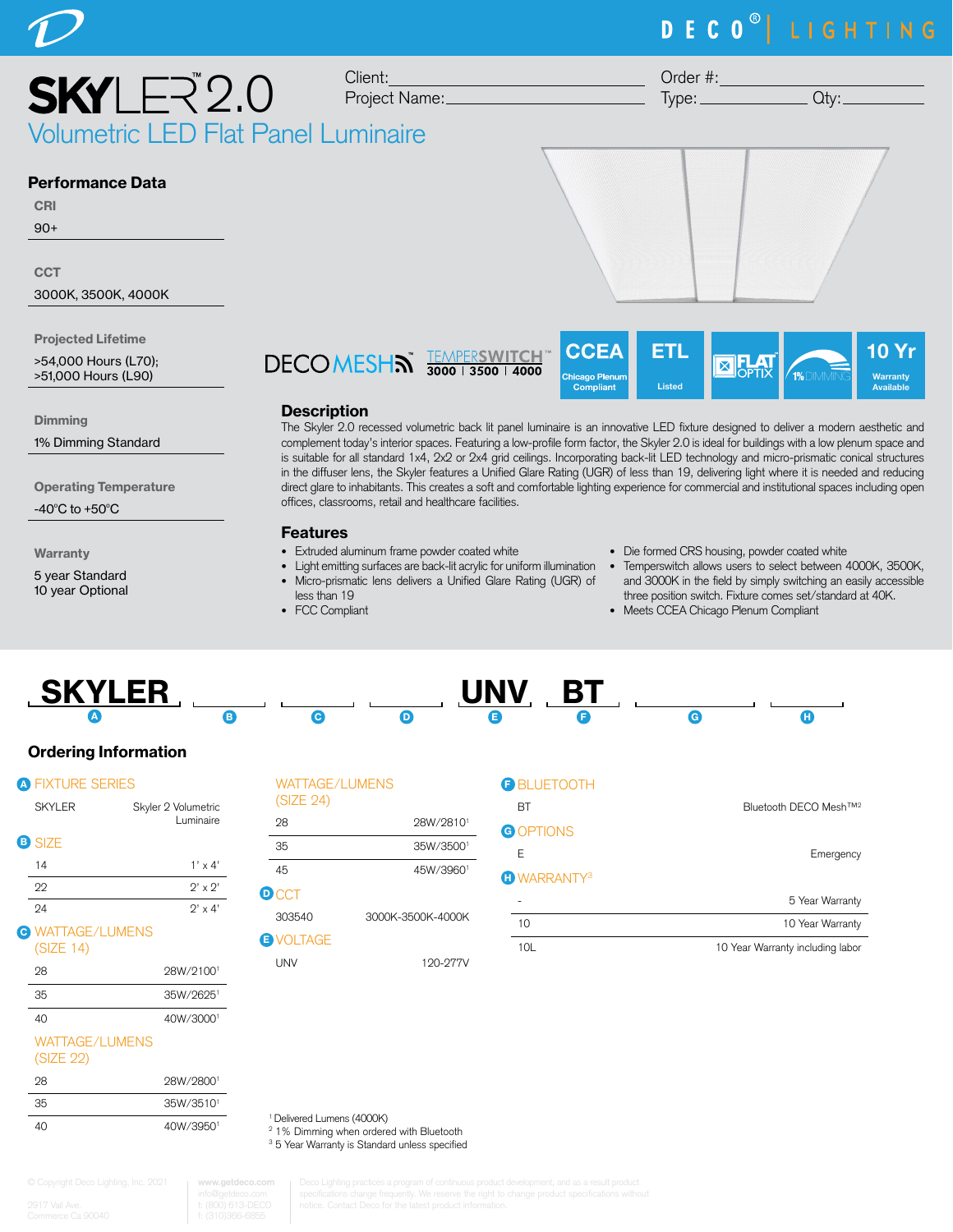# DECO<sup>®</sup> LIGHTING



>54,000 Hours (L70); >51,000 Hours (L90)

**Dimming** 

1% Dimming Standard

Operating Temperature

-40 $^{\circ}$ C to +50 $^{\circ}$ C

**Warranty** 

5 year Standard 10 year Optional



### **Description**

The Skyler 2.0 recessed volumetric back lit panel luminaire is an innovative LED fixture designed to deliver a modern aesthetic and complement today's interior spaces. Featuring a low-profile form factor, the Skyler 2.0 is ideal for buildings with a low plenum space and is suitable for all standard 1x4, 2x2 or 2x4 grid ceilings. Incorporating back-lit LED technology and micro-prismatic conical structures in the diffuser lens, the Skyler features a Unified Glare Rating (UGR) of less than 19, delivering light where it is needed and reducing direct glare to inhabitants. This creates a soft and comfortable lighting experience for commercial and institutional spaces including open offices, classrooms, retail and healthcare facilities.

Chicago <mark>Pl</mark>en Compliant

Listed

### Features

- Extruded aluminum frame powder coated white
- Light emitting surfaces are back-lit acrylic for uniform illumination Temperswitch allows users to select between 4000K, 3500K,
- Micro-prismatic lens delivers a Unified Glare Rating (UGR) of
- less than 19 • FCC Compliant
- Die formed CRS housing, powder coated white
- and 3000K in the field by simply switching an easily accessible three position switch. Fixture comes set/standard at 40K.

**1**% DIMMING

**Warranty** Available

• Meets CCEA Chicago Plenum Compliant

| <b>SKYLER</b> |  | <b>TINV</b><br>78 S.C | <b>DT</b><br>D |  |
|---------------|--|-----------------------|----------------|--|
|               |  |                       |                |  |

# Ordering Information

| <b>A FIXTURE SERIES</b>              |                                  |
|--------------------------------------|----------------------------------|
| <b>SKYLER</b>                        | Skyler 2 Volumetric<br>Luminaire |
| <b>B</b> SIZE                        |                                  |
| 14                                   | $1' \times 4'$                   |
| 22                                   | $2'$ x $2'$                      |
| 94                                   | $2' \times 4'$                   |
| <b>e WATTAGE/LUMENS</b><br>(SIZE 14) |                                  |
| 28                                   | 28W/21001                        |
| 35                                   | 35W/26251                        |

| 28           | 28W/21001 |
|--------------|-----------|
| 35           | 35W/26251 |
| $40^{\circ}$ | 40W/30001 |

## WATTAGE/LUMENS

(SIZE 22)

| 28 | 28W/28001 |
|----|-----------|
| 35 | 35W/35101 |
| 40 | 40W/39501 |

WATTAGE/LUMENS

| (SIZE 24)        |                   |
|------------------|-------------------|
| 28               | 28W/28101         |
| 35               | 35W/35001         |
| 45               | 45W/39601         |
| <b>D</b> CCT     |                   |
| 303540           | 3000K-3500K-4000K |
| <b>B</b> VOLTAGE |                   |

UNV 120-277V

| <b>BLUETOOTH</b>   |                                               |
|--------------------|-----------------------------------------------|
| BT                 | Bluetooth DECO Mesh™ <sup>2</sup>             |
| <b>GOPTIONS</b>    |                                               |
| Е                  | Emergency                                     |
| <b>O WARRANTY3</b> |                                               |
|                    | 5 Year Warranty                               |
| 10                 | 10 Year Warranty                              |
| $1^{\prime}$       | دمعامل بممثلة باممث بالموسوم الالممماك كالمحا |

1 Delivered Lumens (4000K)

**www.getdeco.com**

<sup>2</sup> 1% Dimming when ordered with Bluetooth

<sup>3</sup> 5 Year Warranty is Standard unless specified

# H

10L 10 Year Warranty including labor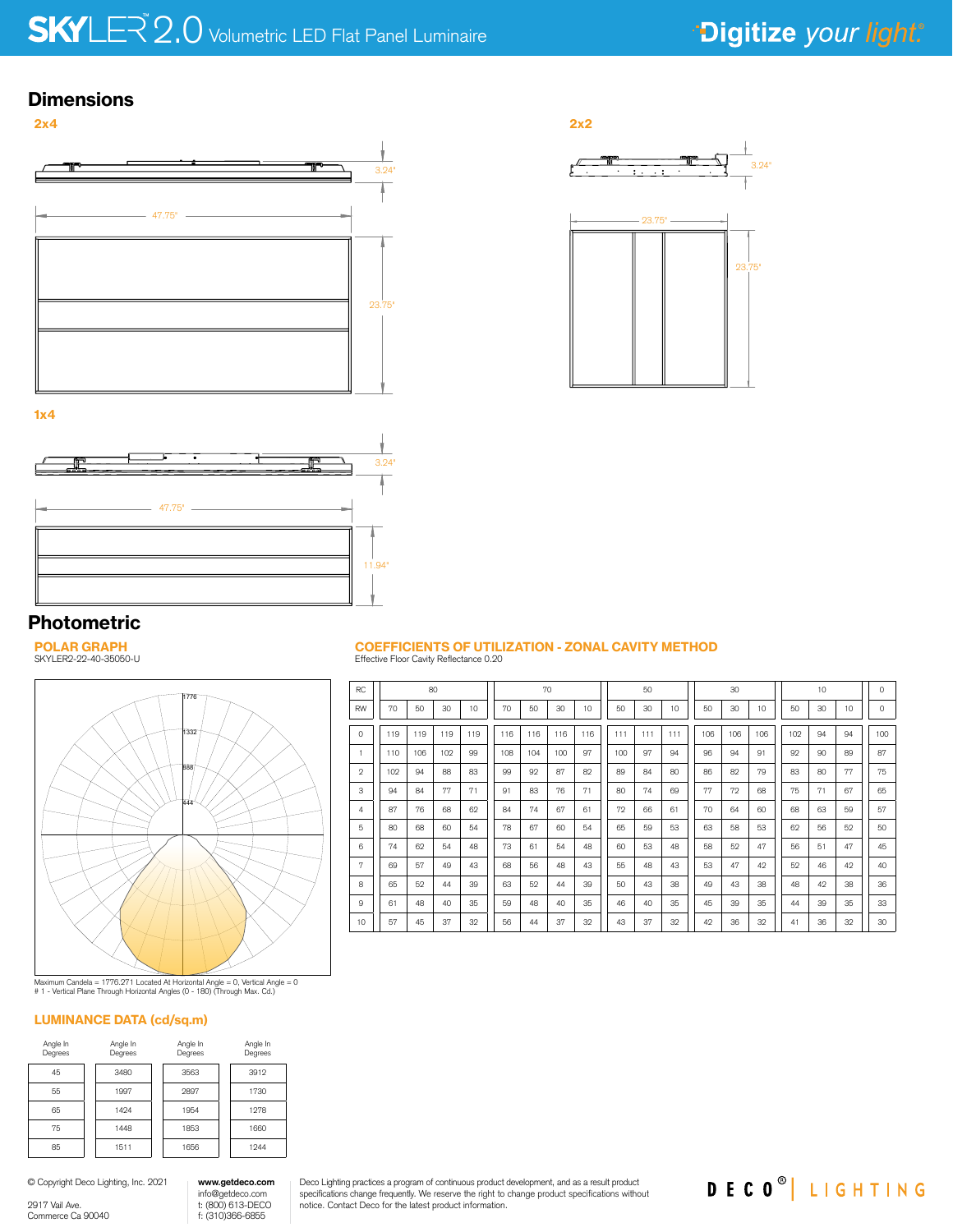# $2.0$  Volumetric LED Flat Panel Luminaire

## **Dimensions**





1x4



# Photometric

POLAR GRAPH SKYLER2-22-40-35050-U



Maximum Candela = 1776.271 Located At Horizontal Angle = 0, Vertical Angle = 0 # 1 - Vertical Plane Through Horizontal Angles (0 - 180) (Through Max. Cd.)

#### LUMINANCE DATA (cd/sq.m)

| Angle In<br>Degrees | Angle In<br>Degrees | Angle In<br>Degrees | Angle In<br>Degrees |
|---------------------|---------------------|---------------------|---------------------|
| 45                  | 3480                | 3563                | 3912                |
| 55                  | 1997                | 2897                | 1730                |
| 65                  | 1494                | 1954                | 1278                |
| 75                  | 1448                | 1853                | 1660                |
| 85                  | 1511                | 1656                | 1944                |

info@getdeco.com t: (800) 613-DECO f: (310)366-6855 **www.getdeco.com**

#### © Copyright Deco Lighting, Inc. 2021

2917 Vail Ave. Commerce Ca 90040

#### Deco Lighting practices a program of continuous product development, and as a result product specifications change frequently. We reserve the right to change product specifications without notice. Contact Deco for the latest product information.

#### COEFFICIENTS OF UTILIZATION - ZONAL CAVITY METHOD Effective Floor Cavity Reflectance 0.20

| <b>RC</b>    | 80<br>70 |     |     |     |  |     |     |     | 50  |  |     |     | 30  |     |     | 10  |  |     |    | $\circ$ |         |
|--------------|----------|-----|-----|-----|--|-----|-----|-----|-----|--|-----|-----|-----|-----|-----|-----|--|-----|----|---------|---------|
|              |          |     |     |     |  |     |     |     |     |  |     |     |     |     |     |     |  |     |    |         |         |
| <b>RW</b>    | 70       | 50  | 30  | 10  |  | 70  | 50  | 30  | 10  |  | 50  | 30  | 10  | 50  | 30  | 10  |  | 50  | 30 | 10      | $\circ$ |
| $\Omega$     | 119      | 119 | 119 | 119 |  | 116 | 116 | 116 | 116 |  | 111 | 111 | 111 | 106 | 106 | 106 |  | 102 | 94 | 94      | 100     |
| 1            | 110      | 106 | 102 | 99  |  | 108 | 104 | 100 | 97  |  | 100 | 97  | 94  | 96  | 94  | 91  |  | 92  | 90 | 89      | 87      |
| $\mathbf{2}$ | 102      | 94  | 88  | 83  |  | 99  | 92  | 87  | 82  |  | 89  | 84  | 80  | 86  | 82  | 79  |  | 83  | 80 | 77      | 75      |
| 3            | 94       | 84  | 77  | 71  |  | 91  | 83  | 76  | 71  |  | 80  | 74  | 69  | 77  | 72  | 68  |  | 75  | 71 | 67      | 65      |
| 4            | 87       | 76  | 68  | 62  |  | 84  | 74  | 67  | 61  |  | 72  | 66  | 61  | 70  | 64  | 60  |  | 68  | 63 | 59      | 57      |
| 5            | 80       | 68  | 60  | 54  |  | 78  | 67  | 60  | 54  |  | 65  | 59  | 53  | 63  | 58  | 53  |  | 62  | 56 | 52      | 50      |
| 6            | 74       | 62  | 54  | 48  |  | 73  | 61  | 54  | 48  |  | 60  | 53  | 48  | 58  | 52  | 47  |  | 56  | 51 | 47      | 45      |
| 7            | 69       | 57  | 49  | 43  |  | 68  | 56  | 48  | 43  |  | 55  | 48  | 43  | 53  | 47  | 42  |  | 52  | 46 | 42      | 40      |
| 8            | 65       | 52  | 44  | 39  |  | 63  | 52  | 44  | 39  |  | 50  | 43  | 38  | 49  | 43  | 38  |  | 48  | 42 | 38      | 36      |
| 9            | 61       | 48  | 40  | 35  |  | 59  | 48  | 40  | 35  |  | 46  | 40  | 35  | 45  | 39  | 35  |  | 44  | 39 | 35      | 33      |
| 10           | 57       | 45  | 37  | 32  |  | 56  | 44  | 37  | 32  |  | 43  | 37  | 32  | 42  | 36  | 32  |  | 41  | 36 | 32      | 30      |